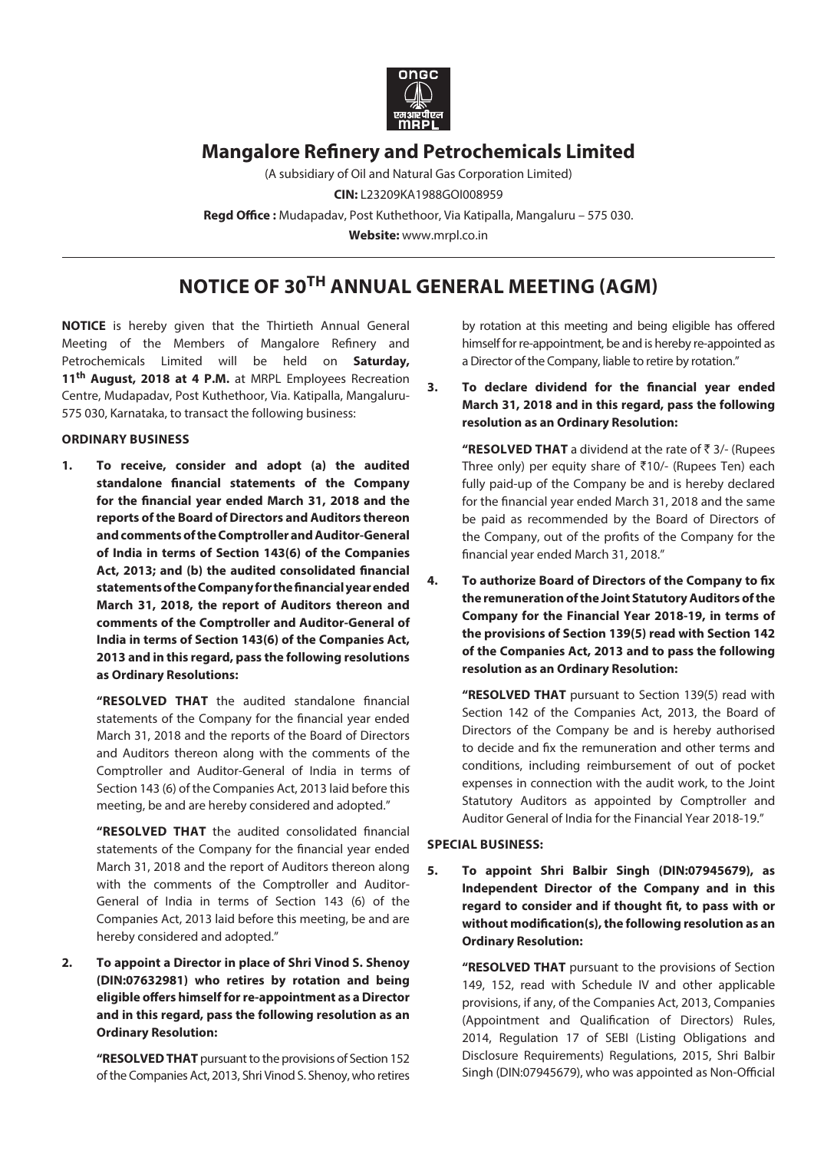

# **Mangalore Refinery and Petrochemicals Limited**

(A subsidiary of Oil and Natural Gas Corporation Limited) **CIN:** L23209KA1988GOI008959 **Regd Office :** Mudapadav, Post Kuthethoor, Via Katipalla, Mangaluru – 575 030. **Website:** [www.mrpl.co.in](http://www.mrpl.co.in)

# **Notice of 30th Annual General Meeting (Agm)**

**NOTICE** is hereby given that the Thirtieth Annual General Meeting of the Members of Mangalore Refinery and Petrochemicals Limited will be held on **Saturday, 11th August, 2018 at 4 P.M.** at MRPL Employees Recreation Centre, Mudapadav, Post Kuthethoor, Via. Katipalla, Mangaluru-575 030, Karnataka, to transact the following business:

### **ORDINARY BUSINESS**

**1. To receive, consider and adopt (a) the audited standalone financial statements of the Company for the financial year ended March 31, 2018 and the reports of the Board of Directors and Auditors thereon and comments of the Comptroller and Auditor-General of India in terms of Section 143(6) of the Companies Act, 2013; and (b) the audited consolidated financial statements of the Company for the financial year ended March 31, 2018, the report of Auditors thereon and comments of the Comptroller and Auditor-General of India in terms of Section 143(6) of the Companies Act, 2013 and in this regard, pass the following resolutions as Ordinary Resolutions:**

**"Resolved that** the audited standalone financial statements of the Company for the financial year ended March 31, 2018 and the reports of the Board of Directors and Auditors thereon along with the comments of the Comptroller and Auditor-General of India in terms of Section 143 (6) of the Companies Act, 2013 laid before this meeting, be and are hereby considered and adopted."

**"Resolved that** the audited consolidated financial statements of the Company for the financial year ended March 31, 2018 and the report of Auditors thereon along with the comments of the Comptroller and Auditor-General of India in terms of Section 143 (6) of the Companies Act, 2013 laid before this meeting, be and are hereby considered and adopted."

**2. To appoint a Director in place of Shri Vinod S. Shenoy (DIN:07632981) who retires by rotation and being eligible offers himself for re-appointment as a Director and in this regard, pass the following resolution as an Ordinary Resolution:**

> **"RESOLVED THAT** pursuant to the provisions of Section 152 of the Companies Act, 2013, Shri Vinod S. Shenoy, who retires

by rotation at this meeting and being eligible has offered himself for re-appointment, be and is hereby re-appointed as a Director of the Company, liable to retire by rotation."

**3. To declare dividend for the financial year ended March 31, 2018 and in this regard, pass the following resolution as an Ordinary Resolution:**

"RESOLVED THAT a dividend at the rate of ₹ 3/- (Rupees Three only) per equity share of  $\bar{\tau}$ 10/- (Rupees Ten) each fully paid-up of the Company be and is hereby declared for the financial year ended March 31, 2018 and the same be paid as recommended by the Board of Directors of the Company, out of the profits of the Company for the financial year ended March 31, 2018."

**4. To authorize Board of Directors of the Company to fix the remuneration of the Joint Statutory Auditors of the Company for the Financial Year 2018-19, in terms of the provisions of Section 139(5) read with Section 142 of the Companies Act, 2013 and to pass the following resolution as an Ordinary Resolution:**

 **"RESOLVED THAT** pursuant to Section 139(5) read with Section 142 of the Companies Act, 2013, the Board of Directors of the Company be and is hereby authorised to decide and fix the remuneration and other terms and conditions, including reimbursement of out of pocket expenses in connection with the audit work, to the Joint Statutory Auditors as appointed by Comptroller and Auditor General of India for the Financial Year 2018-19."

### **SPECIAL BUSINESS:**

**5. To appoint Shri Balbir Singh (DIN:07945679), as Independent Director of the Company and in this regard to consider and if thought fit, to pass with or without modification(s), the following resolution as an Ordinary Resolution:**

 **"RESOLVED THAT** pursuant to the provisions of Section 149, 152, read with Schedule IV and other applicable provisions, if any, of the Companies Act, 2013, Companies (Appointment and Qualification of Directors) Rules, 2014, Regulation 17 of SEBI (Listing Obligations and Disclosure Requirements) Regulations, 2015, Shri Balbir Singh (DIN:07945679), who was appointed as Non-Official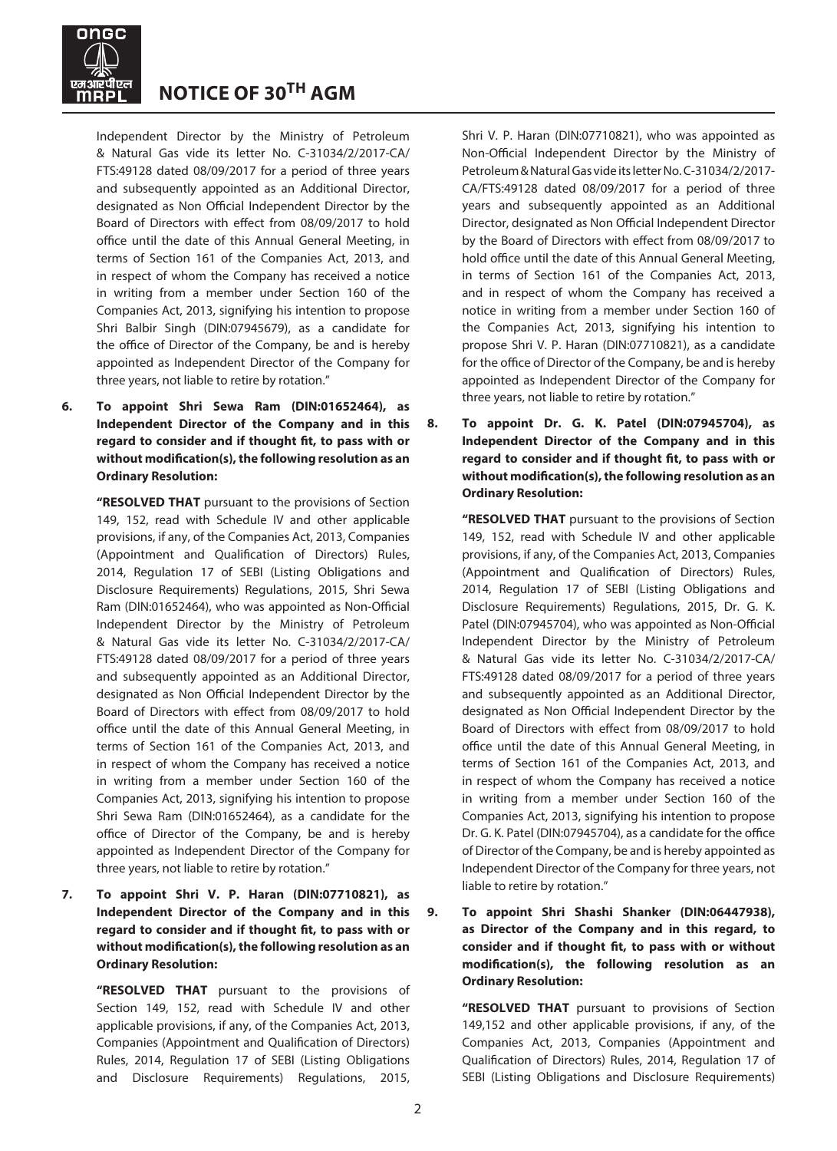

Independent Director by the Ministry of Petroleum & Natural Gas vide its letter No. C-31034/2/2017-CA/ FTS:49128 dated 08/09/2017 for a period of three years and subsequently appointed as an Additional Director, designated as Non Official Independent Director by the Board of Directors with effect from 08/09/2017 to hold office until the date of this Annual General Meeting, in terms of Section 161 of the Companies Act, 2013, and in respect of whom the Company has received a notice in writing from a member under Section 160 of the Companies Act, 2013, signifying his intention to propose Shri Balbir Singh (DIN:07945679), as a candidate for the office of Director of the Company, be and is hereby appointed as Independent Director of the Company for three years, not liable to retire by rotation."

**6. To appoint Shri Sewa Ram (DIN:01652464), as Independent Director of the Company and in this regard to consider and if thought fit, to pass with or without modification(s), the following resolution as an Ordinary Resolution:**

> **"RESOLVED THAT** pursuant to the provisions of Section 149, 152, read with Schedule IV and other applicable provisions, if any, of the Companies Act, 2013, Companies (Appointment and Qualification of Directors) Rules, 2014, Regulation 17 of SEBI (Listing Obligations and Disclosure Requirements) Regulations, 2015, Shri Sewa Ram (DIN:01652464), who was appointed as Non-Official Independent Director by the Ministry of Petroleum & Natural Gas vide its letter No. C-31034/2/2017-CA/ FTS:49128 dated 08/09/2017 for a period of three years and subsequently appointed as an Additional Director, designated as Non Official Independent Director by the Board of Directors with effect from 08/09/2017 to hold office until the date of this Annual General Meeting, in terms of Section 161 of the Companies Act, 2013, and in respect of whom the Company has received a notice in writing from a member under Section 160 of the Companies Act, 2013, signifying his intention to propose Shri Sewa Ram (DIN:01652464), as a candidate for the office of Director of the Company, be and is hereby appointed as Independent Director of the Company for three years, not liable to retire by rotation."

**7. To appoint Shri V. P. Haran (DIN:07710821), as Independent Director of the Company and in this regard to consider and if thought fit, to pass with or without modification(s), the following resolution as an Ordinary Resolution:**

> **"RESOLVED THAT** pursuant to the provisions of Section 149, 152, read with Schedule IV and other applicable provisions, if any, of the Companies Act, 2013, Companies (Appointment and Qualification of Directors) Rules, 2014, Regulation 17 of SEBI (Listing Obligations and Disclosure Requirements) Regulations, 2015,

Shri V. P. Haran (DIN:07710821), who was appointed as Non-Official Independent Director by the Ministry of Petroleum & Natural Gas vide its letter No. C-31034/2/2017- CA/FTS:49128 dated 08/09/2017 for a period of three years and subsequently appointed as an Additional Director, designated as Non Official Independent Director by the Board of Directors with effect from 08/09/2017 to hold office until the date of this Annual General Meeting, in terms of Section 161 of the Companies Act, 2013, and in respect of whom the Company has received a notice in writing from a member under Section 160 of the Companies Act, 2013, signifying his intention to propose Shri V. P. Haran (DIN:07710821), as a candidate for the office of Director of the Company, be and is hereby appointed as Independent Director of the Company for three years, not liable to retire by rotation."

**8. To appoint Dr. G. K. Patel (DIN:07945704), as Independent Director of the Company and in this regard to consider and if thought fit, to pass with or without modification(s), the following resolution as an Ordinary Resolution:**

 **"RESOLVED THAT** pursuant to the provisions of Section 149, 152, read with Schedule IV and other applicable provisions, if any, of the Companies Act, 2013, Companies (Appointment and Qualification of Directors) Rules, 2014, Regulation 17 of SEBI (Listing Obligations and Disclosure Requirements) Regulations, 2015, Dr. G. K. Patel (DIN:07945704), who was appointed as Non-Official Independent Director by the Ministry of Petroleum & Natural Gas vide its letter No. C-31034/2/2017-CA/ FTS:49128 dated 08/09/2017 for a period of three years and subsequently appointed as an Additional Director, designated as Non Official Independent Director by the Board of Directors with effect from 08/09/2017 to hold office until the date of this Annual General Meeting, in terms of Section 161 of the Companies Act, 2013, and in respect of whom the Company has received a notice in writing from a member under Section 160 of the Companies Act, 2013, signifying his intention to propose Dr. G. K. Patel (DIN:07945704), as a candidate for the office of Director of the Company, be and is hereby appointed as Independent Director of the Company for three years, not liable to retire by rotation."

**9. To appoint Shri Shashi Shanker (DIN:06447938), as Director of the Company and in this regard, to consider and if thought fit, to pass with or without modification(s), the following resolution as an Ordinary Resolution:**

 **"RESOLVED THAT** pursuant to provisions of Section 149,152 and other applicable provisions, if any, of the Companies Act, 2013, Companies (Appointment and Qualification of Directors) Rules, 2014, Regulation 17 of SEBI (Listing Obligations and Disclosure Requirements)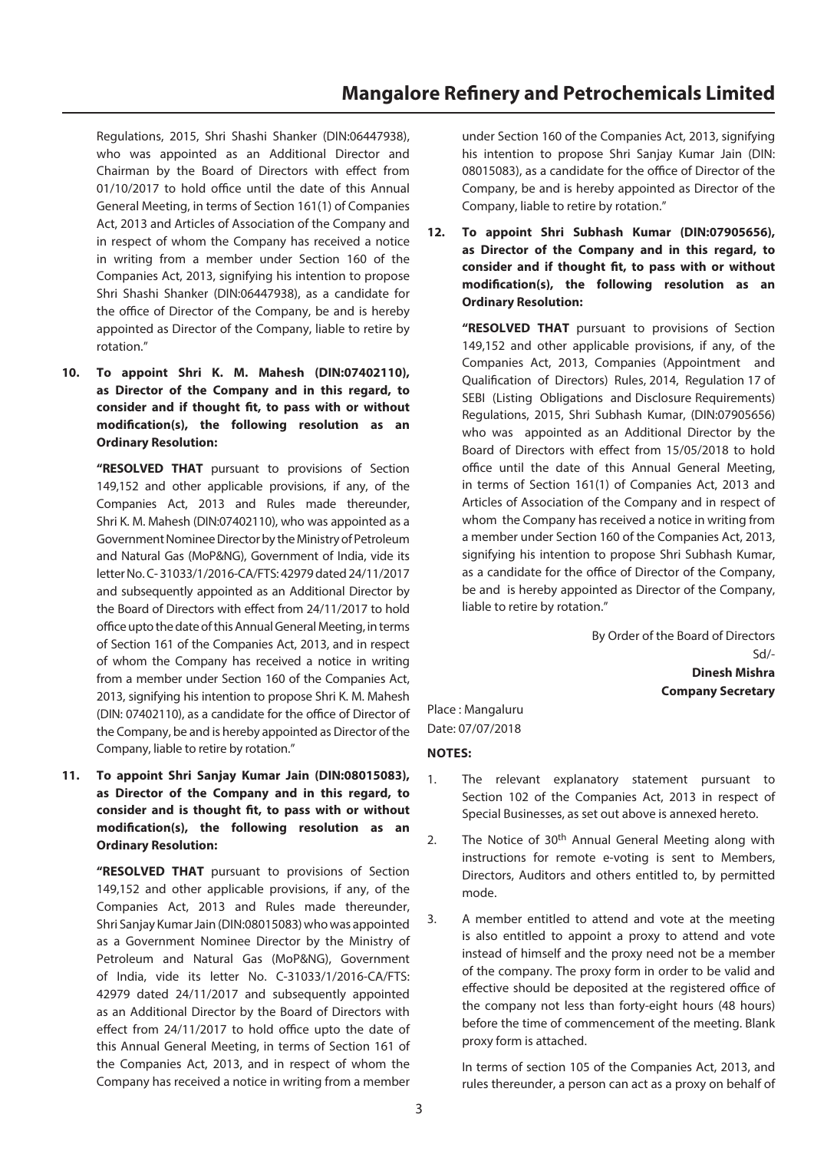Regulations, 2015, Shri Shashi Shanker (DIN:06447938), who was appointed as an Additional Director and Chairman by the Board of Directors with effect from 01/10/2017 to hold office until the date of this Annual General Meeting, in terms of Section 161(1) of Companies Act, 2013 and Articles of Association of the Company and in respect of whom the Company has received a notice in writing from a member under Section 160 of the Companies Act, 2013, signifying his intention to propose Shri Shashi Shanker (DIN:06447938), as a candidate for the office of Director of the Company, be and is hereby appointed as Director of the Company, liable to retire by rotation."

**10. To appoint Shri K. M. Mahesh (DIN:07402110), as Director of the Company and in this regard, to consider and if thought fit, to pass with or without modification(s), the following resolution as an Ordinary Resolution:**

 **"RESOLVED THAT** pursuant to provisions of Section 149,152 and other applicable provisions, if any, of the Companies Act, 2013 and Rules made thereunder, Shri K. M. Mahesh (DIN:07402110), who was appointed as a Government Nominee Director by the Ministry of Petroleum and Natural Gas (MoP&NG), Government of India, vide its letter No. C- 31033/1/2016-CA/FTS: 42979 dated 24/11/2017 and subsequently appointed as an Additional Director by the Board of Directors with effect from 24/11/2017 to hold office upto the date of this Annual General Meeting, in terms of Section 161 of the Companies Act, 2013, and in respect of whom the Company has received a notice in writing from a member under Section 160 of the Companies Act, 2013, signifying his intention to propose Shri K. M. Mahesh (DIN: 07402110), as a candidate for the office of Director of the Company, be and is hereby appointed as Director of the Company, liable to retire by rotation."

**11. To appoint Shri Sanjay Kumar Jain (DIN:08015083), as Director of the Company and in this regard, to consider and is thought fit, to pass with or without modification(s), the following resolution as an Ordinary Resolution:**

> **"RESOLVED THAT** pursuant to provisions of Section 149,152 and other applicable provisions, if any, of the Companies Act, 2013 and Rules made thereunder, Shri Sanjay Kumar Jain (DIN:08015083) who was appointed as a Government Nominee Director by the Ministry of Petroleum and Natural Gas (MoP&NG), Government of India, vide its letter No. C-31033/1/2016-CA/FTS: 42979 dated 24/11/2017 and subsequently appointed as an Additional Director by the Board of Directors with effect from 24/11/2017 to hold office upto the date of this Annual General Meeting, in terms of Section 161 of the Companies Act, 2013, and in respect of whom the Company has received a notice in writing from a member

under Section 160 of the Companies Act, 2013, signifying his intention to propose Shri Sanjay Kumar Jain (DIN: 08015083), as a candidate for the office of Director of the Company, be and is hereby appointed as Director of the Company, liable to retire by rotation."

**12. To appoint Shri Subhash Kumar (DIN:07905656), as Director of the Company and in this regard, to consider and if thought fit, to pass with or without modification(s), the following resolution as an Ordinary Resolution:**

 **"RESOLVED THAT** pursuant to provisions of Section 149,152 and other applicable provisions, if any, of the Companies Act, 2013, Companies (Appointment and Qualification of Directors) Rules, 2014, Regulation 17 of SEBI (Listing Obligations and Disclosure Requirements) Regulations, 2015, Shri Subhash Kumar, (DIN:07905656) who was appointed as an Additional Director by the Board of Directors with effect from 15/05/2018 to hold office until the date of this Annual General Meeting, in terms of Section 161(1) of Companies Act, 2013 and Articles of Association of the Company and in respect of whom the Company has received a notice in writing from a member under Section 160 of the Companies Act, 2013, signifying his intention to propose Shri Subhash Kumar, as a candidate for the office of Director of the Company, be and is hereby appointed as Director of the Company, liable to retire by rotation."

> By Order of the Board of Directors Sd/- **Dinesh Mishra Company Secretary**

### Place : Mangaluru Date: 07/07/2018

### **NOTES:**

- 1. The relevant explanatory statement pursuant to Section 102 of the Companies Act, 2013 in respect of Special Businesses, as set out above is annexed hereto.
- 2. The Notice of 30<sup>th</sup> Annual General Meeting along with instructions for remote e-voting is sent to Members, Directors, Auditors and others entitled to, by permitted mode.
- 3. A member entitled to attend and vote at the meeting is also entitled to appoint a proxy to attend and vote instead of himself and the proxy need not be a member of the company. The proxy form in order to be valid and effective should be deposited at the registered office of the company not less than forty-eight hours (48 hours) before the time of commencement of the meeting. Blank proxy form is attached.

 In terms of section 105 of the Companies Act, 2013, and rules thereunder, a person can act as a proxy on behalf of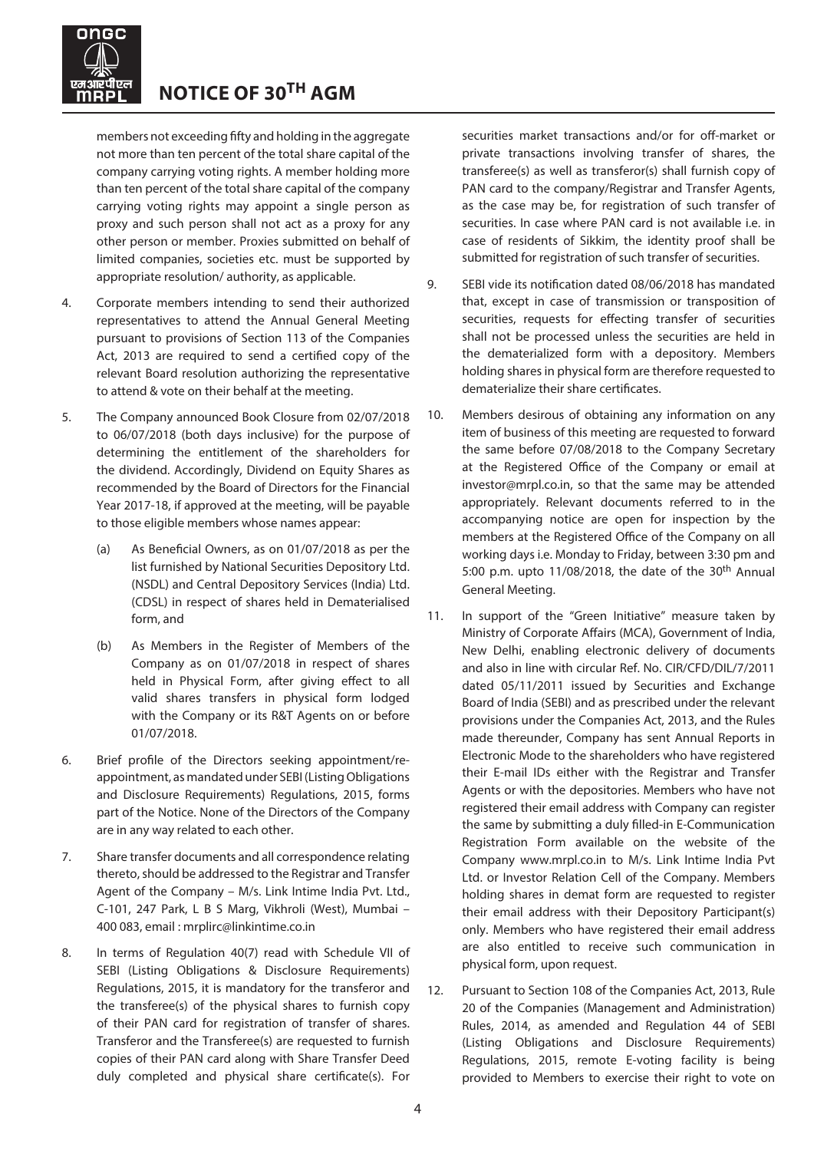

members not exceeding fifty and holding in the aggregate not more than ten percent of the total share capital of the company carrying voting rights. A member holding more than ten percent of the total share capital of the company carrying voting rights may appoint a single person as proxy and such person shall not act as a proxy for any other person or member. Proxies submitted on behalf of limited companies, societies etc. must be supported by appropriate resolution/ authority, as applicable.

- 4. Corporate members intending to send their authorized representatives to attend the Annual General Meeting pursuant to provisions of Section 113 of the Companies Act, 2013 are required to send a certified copy of the relevant Board resolution authorizing the representative to attend & vote on their behalf at the meeting.
- 5. The Company announced Book Closure from 02/07/2018 to 06/07/2018 (both days inclusive) for the purpose of determining the entitlement of the shareholders for the dividend. Accordingly, Dividend on Equity Shares as recommended by the Board of Directors for the Financial Year 2017-18, if approved at the meeting, will be payable to those eligible members whose names appear:
	- (a) As Beneficial Owners, as on 01/07/2018 as per the list furnished by National Securities Depository Ltd. (NSDL) and Central Depository Services (India) Ltd. (CDSL) in respect of shares held in Dematerialised form, and
	- (b) As Members in the Register of Members of the Company as on 01/07/2018 in respect of shares held in Physical Form, after giving effect to all valid shares transfers in physical form lodged with the Company or its R&T Agents on or before 01/07/2018.
- 6. Brief profile of the Directors seeking appointment/reappointment, as mandated under SEBI (Listing Obligations and Disclosure Requirements) Regulations, 2015, forms part of the Notice. None of the Directors of the Company are in any way related to each other.
- 7. Share transfer documents and all correspondence relating thereto, should be addressed to the Registrar and Transfer Agent of the Company – M/s. Link Intime India Pvt. Ltd., C-101, 247 Park, L B S Marg, Vikhroli (West), Mumbai – 400 083, email : [mrplirc@linkintime.co.in](mailto:mrplirc@linkintime.co.in)
- 8. In terms of Regulation 40(7) read with Schedule VII of SEBI (Listing Obligations & Disclosure Requirements) Regulations, 2015, it is mandatory for the transferor and the transferee(s) of the physical shares to furnish copy of their PAN card for registration of transfer of shares. Transferor and the Transferee(s) are requested to furnish copies of their PAN card along with Share Transfer Deed duly completed and physical share certificate(s). For

securities market transactions and/or for off-market or private transactions involving transfer of shares, the transferee(s) as well as transferor(s) shall furnish copy of PAN card to the company/Registrar and Transfer Agents, as the case may be, for registration of such transfer of securities. In case where PAN card is not available i.e. in case of residents of Sikkim, the identity proof shall be submitted for registration of such transfer of securities.

- 9. SEBI vide its notification dated 08/06/2018 has mandated that, except in case of transmission or transposition of securities, requests for effecting transfer of securities shall not be processed unless the securities are held in the dematerialized form with a depository. Members holding shares in physical form are therefore requested to dematerialize their share certificates.
- 10. Members desirous of obtaining any information on any item of business of this meeting are requested to forward the same before 07/08/2018 to the Company Secretary at the Registered Office of the Company or email at investor@mrpl.co.in, so that the same may be attended appropriately. Relevant documents referred to in the accompanying notice are open for inspection by the members at the Registered Office of the Company on all working days i.e. Monday to Friday, between 3:30 pm and 5:00 p.m. upto  $11/08/2018$ , the date of the 30<sup>th</sup> Annual General Meeting.
- 11. In support of the "Green Initiative" measure taken by Ministry of Corporate Affairs (MCA), Government of India, New Delhi, enabling electronic delivery of documents and also in line with circular Ref. No. CIR/CFD/DIL/7/2011 dated 05/11/2011 issued by Securities and Exchange Board of India (SEBI) and as prescribed under the relevant provisions under the Companies Act, 2013, and the Rules made thereunder, Company has sent Annual Reports in Electronic Mode to the shareholders who have registered their E-mail IDs either with the Registrar and Transfer Agents or with the depositories. Members who have not registered their email address with Company can register the same by submitting a duly filled-in E-Communication Registration Form available on the website of the Company [www.mrpl.co.in](http://www.mrpl.co.in/) to M/s. Link Intime India Pvt Ltd. or Investor Relation Cell of the Company. Members holding shares in demat form are requested to register their email address with their Depository Participant(s) only. Members who have registered their email address are also entitled to receive such communication in physical form, upon request.
- 12. Pursuant to Section 108 of the Companies Act, 2013, Rule 20 of the Companies (Management and Administration) Rules, 2014, as amended and Regulation 44 of SEBI (Listing Obligations and Disclosure Requirements) Regulations, 2015, remote E-voting facility is being provided to Members to exercise their right to vote on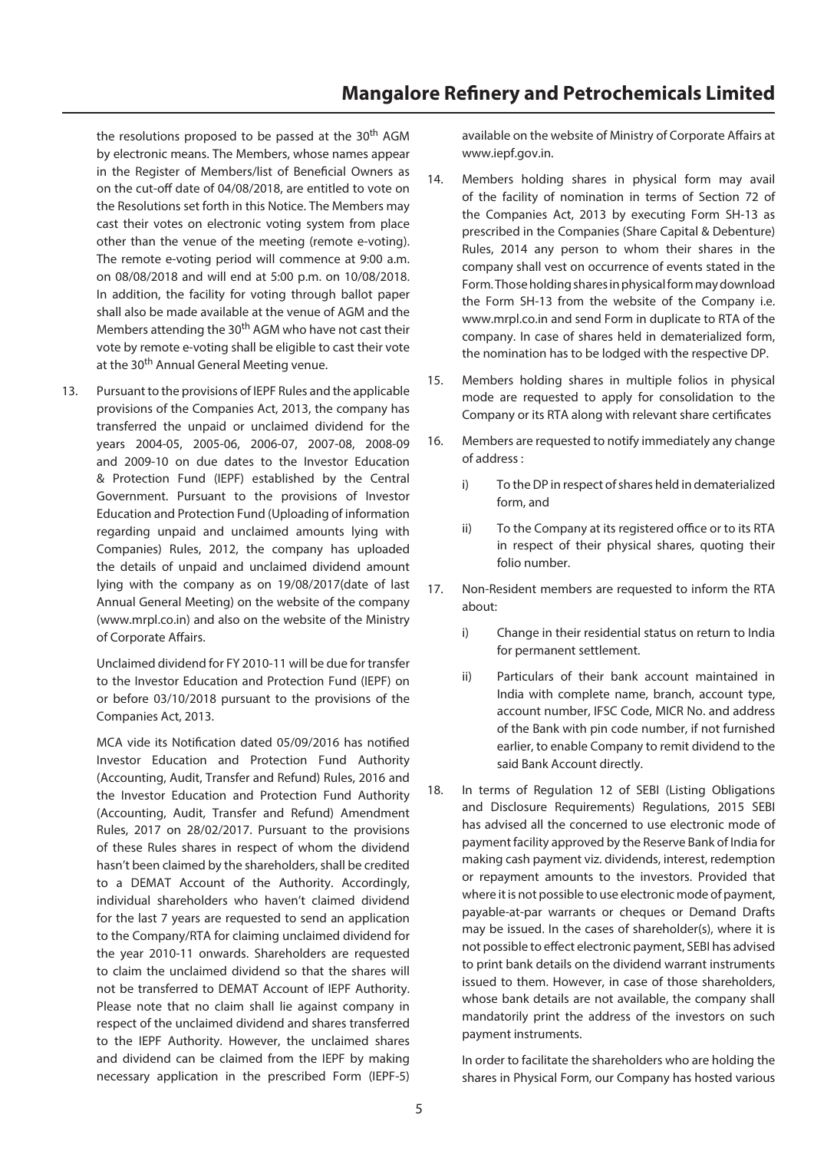the resolutions proposed to be passed at the 30<sup>th</sup> AGM by electronic means. The Members, whose names appear in the Register of Members/list of Beneficial Owners as on the cut-off date of 04/08/2018, are entitled to vote on the Resolutions set forth in this Notice. The Members may cast their votes on electronic voting system from place other than the venue of the meeting (remote e-voting). The remote e-voting period will commence at 9:00 a.m. on 08/08/2018 and will end at 5:00 p.m. on 10/08/2018. In addition, the facility for voting through ballot paper shall also be made available at the venue of AGM and the Members attending the 30<sup>th</sup> AGM who have not cast their vote by remote e-voting shall be eligible to cast their vote at the 30<sup>th</sup> Annual General Meeting venue.

13. Pursuant to the provisions of IEPF Rules and the applicable provisions of the Companies Act, 2013, the company has transferred the unpaid or unclaimed dividend for the years 2004-05, 2005-06, 2006-07, 2007-08, 2008-09 and 2009-10 on due dates to the Investor Education & Protection Fund (IEPF) established by the Central Government. Pursuant to the provisions of Investor Education and Protection Fund (Uploading of information regarding unpaid and unclaimed amounts lying with Companies) Rules, 2012, the company has uploaded the details of unpaid and unclaimed dividend amount lying with the company as on 19/08/2017(date of last Annual General Meeting) on the website of the company [\(www.mrpl.co.in](http://www.mrpl.co.in/)) and also on the website of the Ministry of Corporate Affairs.

 Unclaimed dividend for FY 2010-11 will be due for transfer to the Investor Education and Protection Fund (IEPF) on or before 03/10/2018 pursuant to the provisions of the Companies Act, 2013.

 MCA vide its Notification dated 05/09/2016 has notified Investor Education and Protection Fund Authority (Accounting, Audit, Transfer and Refund) Rules, 2016 and the Investor Education and Protection Fund Authority (Accounting, Audit, Transfer and Refund) Amendment Rules, 2017 on 28/02/2017. Pursuant to the provisions of these Rules shares in respect of whom the dividend hasn't been claimed by the shareholders, shall be credited to a DEMAT Account of the Authority. Accordingly, individual shareholders who haven't claimed dividend for the last 7 years are requested to send an application to the Company/RTA for claiming unclaimed dividend for the year 2010-11 onwards. Shareholders are requested to claim the unclaimed dividend so that the shares will not be transferred to DEMAT Account of IEPF Authority. Please note that no claim shall lie against company in respect of the unclaimed dividend and shares transferred to the IEPF Authority. However, the unclaimed shares and dividend can be claimed from the IEPF by making necessary application in the prescribed Form (IEPF-5)

available on the website of Ministry of Corporate Affairs at [www.iepf.g](http://www.iepf./)ov.in.

- 14. Members holding shares in physical form may avail of the facility of nomination in terms of Section 72 of the Companies Act, 2013 by executing Form SH-13 as prescribed in the Companies (Share Capital & Debenture) Rules, 2014 any person to whom their shares in the company shall vest on occurrence of events stated in the Form. Those holding shares in physical form may download the Form SH-13 from the website of the Company i.e. [www.mrpl.co.in](http://www.mrpl.co.in/) and send Form in duplicate to RTA of the company. In case of shares held in dematerialized form, the nomination has to be lodged with the respective DP.
- 15. Members holding shares in multiple folios in physical mode are requested to apply for consolidation to the Company or its RTA along with relevant share certificates
- 16. Members are requested to notify immediately any change of address :
	- i) To the DP in respect of shares held in dematerialized form, and
	- ii) To the Company at its registered office or to its RTA in respect of their physical shares, quoting their folio number.
- 17. Non-Resident members are requested to inform the RTA about:
	- i) Change in their residential status on return to India for permanent settlement.
	- ii) Particulars of their bank account maintained in India with complete name, branch, account type, account number, IFSC Code, MICR No. and address of the Bank with pin code number, if not furnished earlier, to enable Company to remit dividend to the said Bank Account directly.
- 18. In terms of Regulation 12 of SEBI (Listing Obligations and Disclosure Requirements) Regulations, 2015 SEBI has advised all the concerned to use electronic mode of payment facility approved by the Reserve Bank of India for making cash payment viz. dividends, interest, redemption or repayment amounts to the investors. Provided that where it is not possible to use electronic mode of payment, payable-at-par warrants or cheques or Demand Drafts may be issued. In the cases of shareholder(s), where it is not possible to effect electronic payment, SEBI has advised to print bank details on the dividend warrant instruments issued to them. However, in case of those shareholders, whose bank details are not available, the company shall mandatorily print the address of the investors on such payment instruments.

 In order to facilitate the shareholders who are holding the shares in Physical Form, our Company has hosted various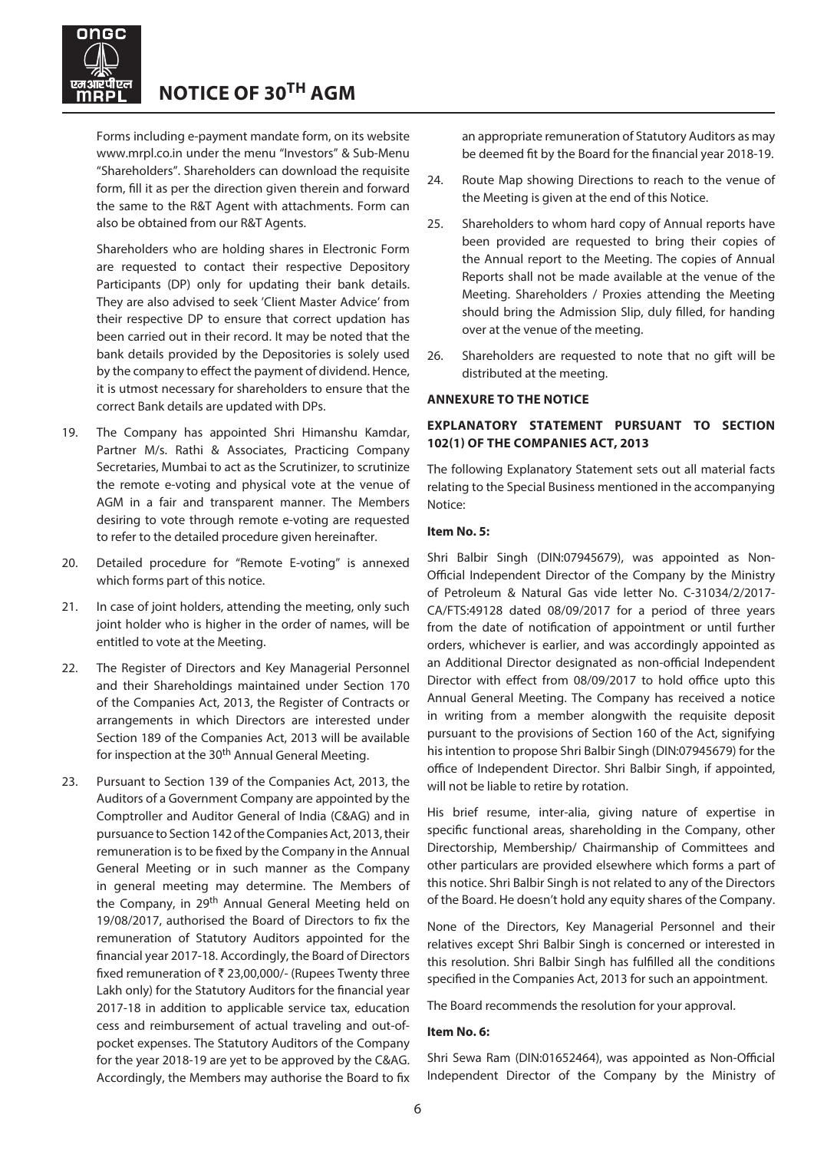

Forms including e-payment mandate form, on its website [www.mrpl.co.in](http://www.mrpl.co.in/) under the menu "Investors" & Sub-Menu "Shareholders". Shareholders can download the requisite form, fill it as per the direction given therein and forward the same to the R&T Agent with attachments. Form can also be obtained from our R&T Agents.

 Shareholders who are holding shares in Electronic Form are requested to contact their respective Depository Participants (DP) only for updating their bank details. They are also advised to seek 'Client Master Advice' from their respective DP to ensure that correct updation has been carried out in their record. It may be noted that the bank details provided by the Depositories is solely used by the company to effect the payment of dividend. Hence, it is utmost necessary for shareholders to ensure that the correct Bank details are updated with DPs.

- 19. The Company has appointed Shri Himanshu Kamdar, Partner M/s. Rathi & Associates, Practicing Company Secretaries, Mumbai to act as the Scrutinizer, to scrutinize the remote e-voting and physical vote at the venue of AGM in a fair and transparent manner. The Members desiring to vote through remote e-voting are requested to refer to the detailed procedure given hereinafter.
- 20. Detailed procedure for "Remote E-voting" is annexed which forms part of this notice.
- 21. In case of joint holders, attending the meeting, only such joint holder who is higher in the order of names, will be entitled to vote at the Meeting.
- 22. The Register of Directors and Key Managerial Personnel and their Shareholdings maintained under Section 170 of the Companies Act, 2013, the Register of Contracts or arrangements in which Directors are interested under Section 189 of the Companies Act, 2013 will be available for inspection at the 30<sup>th</sup> Annual General Meeting.
- 23. Pursuant to Section 139 of the Companies Act, 2013, the Auditors of a Government Company are appointed by the Comptroller and Auditor General of India (C&AG) and in pursuance to Section 142 of the Companies Act, 2013, their remuneration is to be fixed by the Company in the Annual General Meeting or in such manner as the Company in general meeting may determine. The Members of the Company, in 29<sup>th</sup> Annual General Meeting held on 19/08/2017, authorised the Board of Directors to fix the remuneration of Statutory Auditors appointed for the financial year 2017-18. Accordingly, the Board of Directors fixed remuneration of ₹ 23,00,000/- (Rupees Twenty three Lakh only) for the Statutory Auditors for the financial year 2017-18 in addition to applicable service tax, education cess and reimbursement of actual traveling and out-ofpocket expenses. The Statutory Auditors of the Company for the year 2018-19 are yet to be approved by the C&AG. Accordingly, the Members may authorise the Board to fix

an appropriate remuneration of Statutory Auditors as may be deemed fit by the Board for the financial year 2018-19.

- 24. Route Map showing Directions to reach to the venue of the Meeting is given at the end of this Notice.
- 25. Shareholders to whom hard copy of Annual reports have been provided are requested to bring their copies of the Annual report to the Meeting. The copies of Annual Reports shall not be made available at the venue of the Meeting. Shareholders / Proxies attending the Meeting should bring the Admission Slip, duly filled, for handing over at the venue of the meeting.
- 26. Shareholders are requested to note that no gift will be distributed at the meeting.

### **ANNEXURE TO THE NOTICE**

### **EXPLANATORY STATEMENT PURSUANT TO SECTION 102(1) OF THE COMPANIES ACT, 2013**

The following Explanatory Statement sets out all material facts relating to the Special Business mentioned in the accompanying Notice:

### **Item No. 5:**

Shri Balbir Singh (DIN:07945679), was appointed as Non-Official Independent Director of the Company by the Ministry of Petroleum & Natural Gas vide letter No. C-31034/2/2017- CA/FTS:49128 dated 08/09/2017 for a period of three years from the date of notification of appointment or until further orders, whichever is earlier, and was accordingly appointed as an Additional Director designated as non-official Independent Director with effect from 08/09/2017 to hold office upto this Annual General Meeting. The Company has received a notice in writing from a member alongwith the requisite deposit pursuant to the provisions of Section 160 of the Act, signifying his intention to propose Shri Balbir Singh (DIN:07945679) for the office of Independent Director. Shri Balbir Singh, if appointed, will not be liable to retire by rotation.

His brief resume, inter-alia, giving nature of expertise in specific functional areas, shareholding in the Company, other Directorship, Membership/ Chairmanship of Committees and other particulars are provided elsewhere which forms a part of this notice. Shri Balbir Singh is not related to any of the Directors of the Board. He doesn't hold any equity shares of the Company.

None of the Directors, Key Managerial Personnel and their relatives except Shri Balbir Singh is concerned or interested in this resolution. Shri Balbir Singh has fulfilled all the conditions specified in the Companies Act, 2013 for such an appointment.

The Board recommends the resolution for your approval.

### **Item No. 6:**

Shri Sewa Ram (DIN:01652464), was appointed as Non-Official Independent Director of the Company by the Ministry of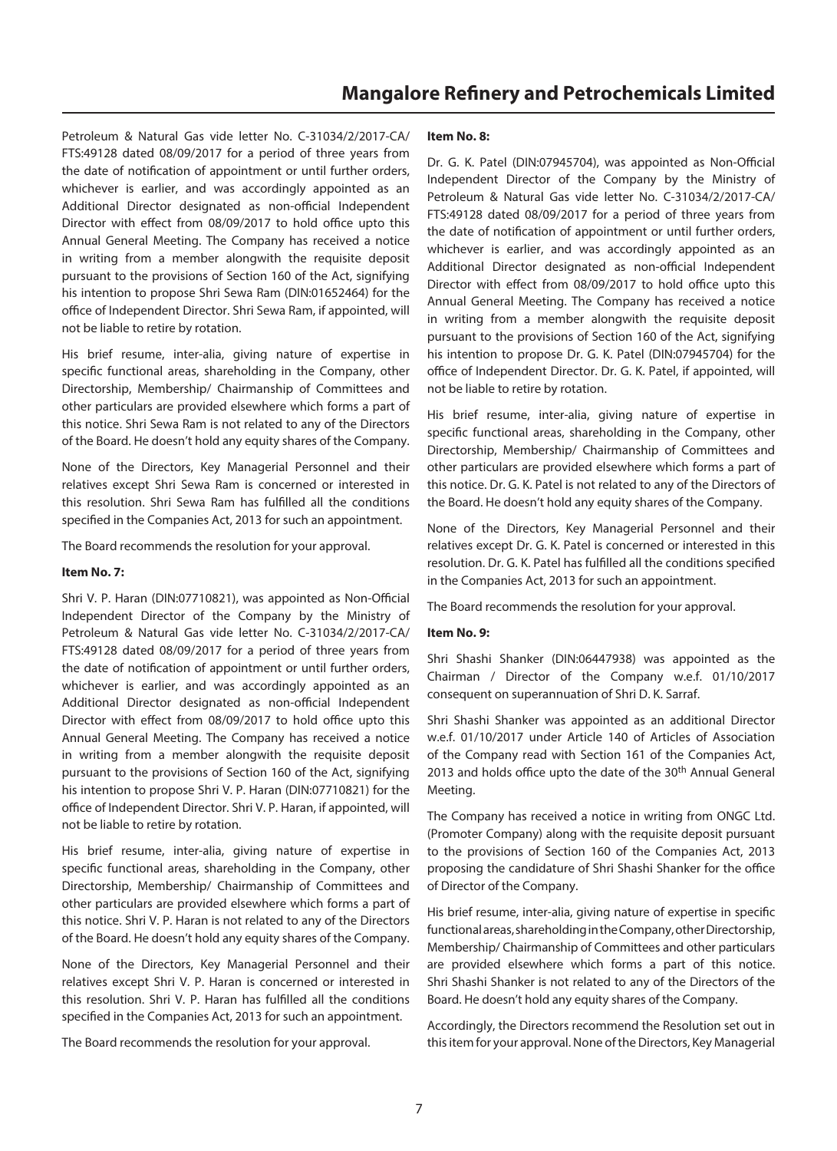Petroleum & Natural Gas vide letter No. C-31034/2/2017-CA/ FTS:49128 dated 08/09/2017 for a period of three years from the date of notification of appointment or until further orders, whichever is earlier, and was accordingly appointed as an Additional Director designated as non-official Independent Director with effect from 08/09/2017 to hold office upto this Annual General Meeting. The Company has received a notice in writing from a member alongwith the requisite deposit pursuant to the provisions of Section 160 of the Act, signifying his intention to propose Shri Sewa Ram (DIN:01652464) for the office of Independent Director. Shri Sewa Ram, if appointed, will not be liable to retire by rotation.

His brief resume, inter-alia, giving nature of expertise in specific functional areas, shareholding in the Company, other Directorship, Membership/ Chairmanship of Committees and other particulars are provided elsewhere which forms a part of this notice. Shri Sewa Ram is not related to any of the Directors of the Board. He doesn't hold any equity shares of the Company.

None of the Directors, Key Managerial Personnel and their relatives except Shri Sewa Ram is concerned or interested in this resolution. Shri Sewa Ram has fulfilled all the conditions specified in the Companies Act, 2013 for such an appointment.

The Board recommends the resolution for your approval.

### **Item No. 7:**

Shri V. P. Haran (DIN:07710821), was appointed as Non-Official Independent Director of the Company by the Ministry of Petroleum & Natural Gas vide letter No. C-31034/2/2017-CA/ FTS:49128 dated 08/09/2017 for a period of three years from the date of notification of appointment or until further orders, whichever is earlier, and was accordingly appointed as an Additional Director designated as non-official Independent Director with effect from 08/09/2017 to hold office upto this Annual General Meeting. The Company has received a notice in writing from a member alongwith the requisite deposit pursuant to the provisions of Section 160 of the Act, signifying his intention to propose Shri V. P. Haran (DIN:07710821) for the office of Independent Director. Shri V. P. Haran, if appointed, will not be liable to retire by rotation.

His brief resume, inter-alia, giving nature of expertise in specific functional areas, shareholding in the Company, other Directorship, Membership/ Chairmanship of Committees and other particulars are provided elsewhere which forms a part of this notice. Shri V. P. Haran is not related to any of the Directors of the Board. He doesn't hold any equity shares of the Company.

None of the Directors, Key Managerial Personnel and their relatives except Shri V. P. Haran is concerned or interested in this resolution. Shri V. P. Haran has fulfilled all the conditions specified in the Companies Act, 2013 for such an appointment.

The Board recommends the resolution for your approval.

### **Item No. 8:**

Dr. G. K. Patel (DIN:07945704), was appointed as Non-Official Independent Director of the Company by the Ministry of Petroleum & Natural Gas vide letter No. C-31034/2/2017-CA/ FTS:49128 dated 08/09/2017 for a period of three years from the date of notification of appointment or until further orders, whichever is earlier, and was accordingly appointed as an Additional Director designated as non-official Independent Director with effect from 08/09/2017 to hold office upto this Annual General Meeting. The Company has received a notice in writing from a member alongwith the requisite deposit pursuant to the provisions of Section 160 of the Act, signifying his intention to propose Dr. G. K. Patel (DIN:07945704) for the office of Independent Director. Dr. G. K. Patel, if appointed, will not be liable to retire by rotation.

His brief resume, inter-alia, giving nature of expertise in specific functional areas, shareholding in the Company, other Directorship, Membership/ Chairmanship of Committees and other particulars are provided elsewhere which forms a part of this notice. Dr. G. K. Patel is not related to any of the Directors of the Board. He doesn't hold any equity shares of the Company.

None of the Directors, Key Managerial Personnel and their relatives except Dr. G. K. Patel is concerned or interested in this resolution. Dr. G. K. Patel has fulfilled all the conditions specified in the Companies Act, 2013 for such an appointment.

The Board recommends the resolution for your approval.

### **Item No. 9:**

Shri Shashi Shanker (DIN:06447938) was appointed as the Chairman / Director of the Company w.e.f. 01/10/2017 consequent on superannuation of Shri D. K. Sarraf.

Shri Shashi Shanker was appointed as an additional Director w.e.f. 01/10/2017 under Article 140 of Articles of Association of the Company read with Section 161 of the Companies Act, 2013 and holds office upto the date of the 30<sup>th</sup> Annual General Meeting.

The Company has received a notice in writing from ONGC Ltd. (Promoter Company) along with the requisite deposit pursuant to the provisions of Section 160 of the Companies Act, 2013 proposing the candidature of Shri Shashi Shanker for the office of Director of the Company.

His brief resume, inter-alia, giving nature of expertise in specific functional areas, shareholding in the Company, other Directorship, Membership/ Chairmanship of Committees and other particulars are provided elsewhere which forms a part of this notice. Shri Shashi Shanker is not related to any of the Directors of the Board. He doesn't hold any equity shares of the Company.

Accordingly, the Directors recommend the Resolution set out in this item for your approval. None of the Directors, Key Managerial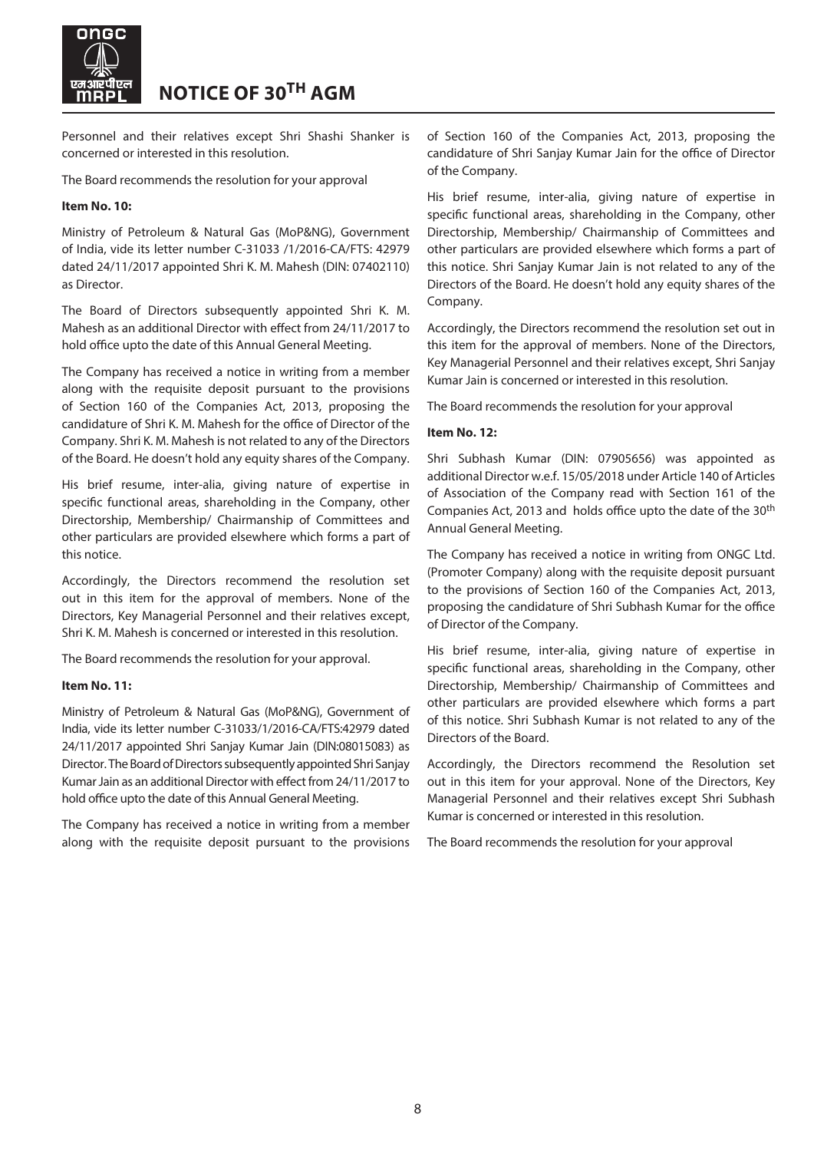

Personnel and their relatives except Shri Shashi Shanker is concerned or interested in this resolution.

The Board recommends the resolution for your approval

### **Item No. 10:**

Ministry of Petroleum & Natural Gas (MoP&NG), Government of India, vide its letter number C-31033 /1/2016-CA/FTS: 42979 dated 24/11/2017 appointed Shri K. M. Mahesh (DIN: 07402110) as Director.

The Board of Directors subsequently appointed Shri K. M. Mahesh as an additional Director with effect from 24/11/2017 to hold office upto the date of this Annual General Meeting.

The Company has received a notice in writing from a member along with the requisite deposit pursuant to the provisions of Section 160 of the Companies Act, 2013, proposing the candidature of Shri K. M. Mahesh for the office of Director of the Company. Shri K. M. Mahesh is not related to any of the Directors of the Board. He doesn't hold any equity shares of the Company.

His brief resume, inter-alia, giving nature of expertise in specific functional areas, shareholding in the Company, other Directorship, Membership/ Chairmanship of Committees and other particulars are provided elsewhere which forms a part of this notice.

Accordingly, the Directors recommend the resolution set out in this item for the approval of members. None of the Directors, Key Managerial Personnel and their relatives except, Shri K. M. Mahesh is concerned or interested in this resolution.

The Board recommends the resolution for your approval.

### **Item No. 11:**

Ministry of Petroleum & Natural Gas (MoP&NG), Government of India, vide its letter number C-31033/1/2016-CA/FTS:42979 dated 24/11/2017 appointed Shri Sanjay Kumar Jain (DIN:08015083) as Director. The Board of Directors subsequently appointed Shri Sanjay Kumar Jain as an additional Director with effect from 24/11/2017 to hold office upto the date of this Annual General Meeting.

The Company has received a notice in writing from a member along with the requisite deposit pursuant to the provisions of Section 160 of the Companies Act, 2013, proposing the candidature of Shri Sanjay Kumar Jain for the office of Director of the Company.

His brief resume, inter-alia, giving nature of expertise in specific functional areas, shareholding in the Company, other Directorship, Membership/ Chairmanship of Committees and other particulars are provided elsewhere which forms a part of this notice. Shri Sanjay Kumar Jain is not related to any of the Directors of the Board. He doesn't hold any equity shares of the Company.

Accordingly, the Directors recommend the resolution set out in this item for the approval of members. None of the Directors, Key Managerial Personnel and their relatives except, Shri Sanjay Kumar Jain is concerned or interested in this resolution.

The Board recommends the resolution for your approval

### **Item No. 12:**

Shri Subhash Kumar (DIN: 07905656) was appointed as additional Director w.e.f. 15/05/2018 under Article 140 of Articles of Association of the Company read with Section 161 of the Companies Act, 2013 and holds office upto the date of the 30<sup>th</sup> Annual General Meeting.

The Company has received a notice in writing from ONGC Ltd. (Promoter Company) along with the requisite deposit pursuant to the provisions of Section 160 of the Companies Act, 2013, proposing the candidature of Shri Subhash Kumar for the office of Director of the Company.

His brief resume, inter-alia, giving nature of expertise in specific functional areas, shareholding in the Company, other Directorship, Membership/ Chairmanship of Committees and other particulars are provided elsewhere which forms a part of this notice. Shri Subhash Kumar is not related to any of the Directors of the Board.

Accordingly, the Directors recommend the Resolution set out in this item for your approval. None of the Directors, Key Managerial Personnel and their relatives except Shri Subhash Kumar is concerned or interested in this resolution.

The Board recommends the resolution for your approval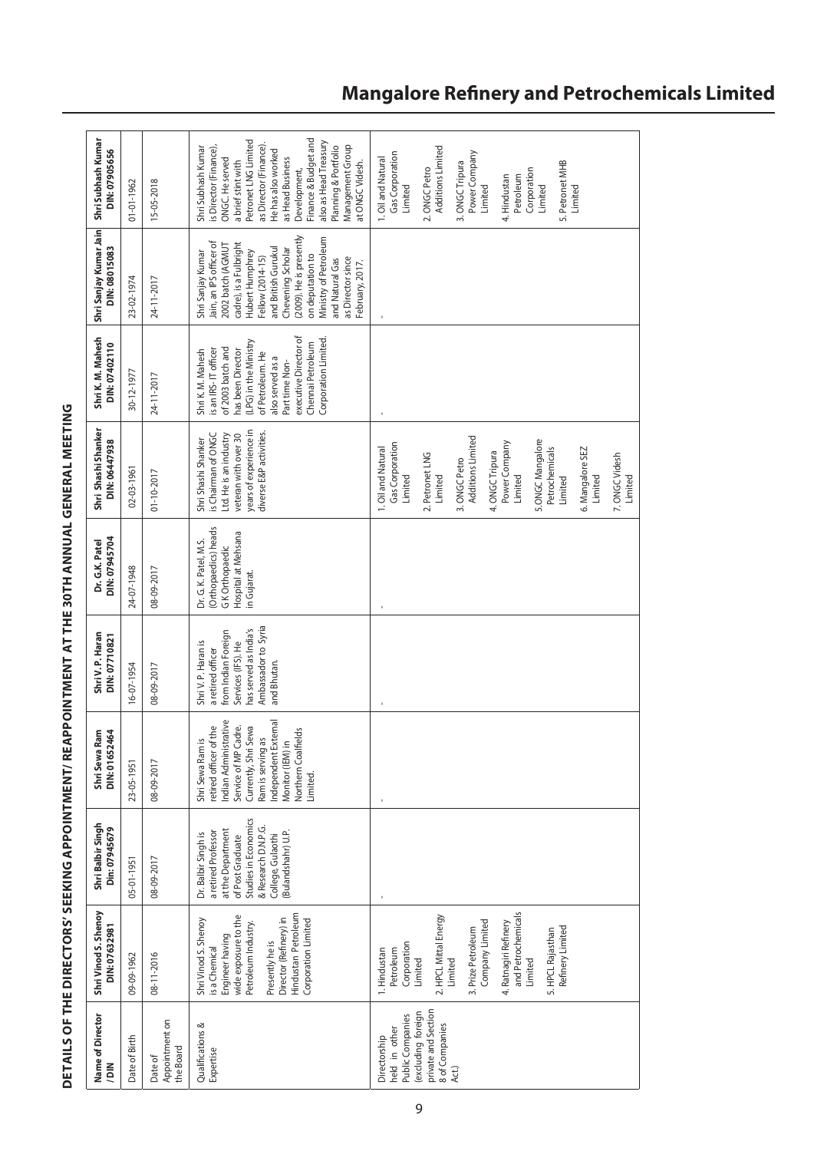| Name of Director<br>$\sum_{i=1}^{n}$                                                                                      | Shri Vinod S. Shenoy<br>DIN: 07632981                                                                                                                                                                                               | Shri Balbir Singh<br>Din: 07945679                                                                                                                                           | DIN: 01652464<br>ri Sewa Ram<br>ዿ                                                                                                                                                                                       | Shri V.P. Haran<br>DIN: 07710821                                                                                                                     | DIN: 07945704<br>Dr. G.K. Patel                                                                               | Shri Shashi Shanker<br>DIN: 06447938                                                                                                                                                                                                                                             | Shri K. M. Mahesh<br>DIN: 07402110                                                                                                                                                                                                          | Shri Sanjay Kumar Jain Shri Subhash Kumar<br>DIN: 08015083                                                                                                                                                                                                                                                       | DIN: 07905656                                                                                                                                                                                                                                                                                                     |
|---------------------------------------------------------------------------------------------------------------------------|-------------------------------------------------------------------------------------------------------------------------------------------------------------------------------------------------------------------------------------|------------------------------------------------------------------------------------------------------------------------------------------------------------------------------|-------------------------------------------------------------------------------------------------------------------------------------------------------------------------------------------------------------------------|------------------------------------------------------------------------------------------------------------------------------------------------------|---------------------------------------------------------------------------------------------------------------|----------------------------------------------------------------------------------------------------------------------------------------------------------------------------------------------------------------------------------------------------------------------------------|---------------------------------------------------------------------------------------------------------------------------------------------------------------------------------------------------------------------------------------------|------------------------------------------------------------------------------------------------------------------------------------------------------------------------------------------------------------------------------------------------------------------------------------------------------------------|-------------------------------------------------------------------------------------------------------------------------------------------------------------------------------------------------------------------------------------------------------------------------------------------------------------------|
| Date of Birth                                                                                                             | 09-09-1962                                                                                                                                                                                                                          | 05-01-1951                                                                                                                                                                   | 23-05-1951                                                                                                                                                                                                              | 16-07-1954                                                                                                                                           | 24-07-1948                                                                                                    | $02 - 03 - 1961$                                                                                                                                                                                                                                                                 | 30-12-1977                                                                                                                                                                                                                                  | 23-02-1974                                                                                                                                                                                                                                                                                                       | $01 - 01 - 1962$                                                                                                                                                                                                                                                                                                  |
| Appointment on<br>the Board<br>Date of                                                                                    | 08-11-2016                                                                                                                                                                                                                          | 08-09-2017                                                                                                                                                                   | 08-09-2017                                                                                                                                                                                                              | 08-09-2017                                                                                                                                           | 08-09-2017                                                                                                    | $01 - 10 - 2017$                                                                                                                                                                                                                                                                 | 24-11-2017                                                                                                                                                                                                                                  | 24-11-2017                                                                                                                                                                                                                                                                                                       | 5-05-2018                                                                                                                                                                                                                                                                                                         |
| Qualifications &<br>Expertise                                                                                             | Hindustan Petroleum<br>wide exposure to the<br>Director (Refinery) in<br>Shri Vinod S. Shenoy<br>Corporation Limited<br>Petroleum Industry.<br>Engineer having<br>Presently he is<br>is a Chemical                                  | Studies in Economics<br>& Research D.N.P.G.<br>at the Department<br>Bulandshahr) U.P.<br>a retired Professon<br>Dr. Balbir Singh is<br>College, Gulaothi<br>of Post Graduate | Indian Administrative<br>Independent External<br>retired officer of the<br>Service of MP Cadre.<br>Currently, Shri Sewa<br>Northern Coalfields<br>Ram is serving as<br>Shri Sewa Ram is<br>Monitor (IEM) in<br>Limited. | Ambassador to Syria<br>has served as India's<br>from Indian Foreign<br>Shri V. P. Haran is<br>Services (IFS). He<br>a retired officer<br>and Bhutan. | (Orthopaedics) heads<br><b>Hospital at Mehsana</b><br>Dr. G. K. Patel, M.S.<br>G K Orthopaedic<br>in Gujarat. | years of experience in<br>diverse E&P activities.<br>is Chairman of ONGC<br>Ltd. He is an industry<br>veteran with over 30<br>Shri Shashi Shanker                                                                                                                                | executive Director of<br>Corporation Limited<br>(LPG) in the Ministry<br>Chennai Petroleum<br>of 2003 batch and<br>is an IRS-IT officer<br>has been Director<br>Shri K. M. Mahesh<br>of Petroleum. He<br>also served as a<br>Part time Non- | (2009). He is presently<br>Ministry of Petroleum<br>Jain, an IPS officer of<br>cadre), is a Fulbright<br>2002 batch (AGMU<br>and British Gurukul<br>Chevening Scholar<br>Hubert Humphrey<br>Shri Sanjay Kumar<br>on deputation to<br>Fellow (2014-15)<br>as Director since<br>and Natural Gas<br>February, 2017. | Finance & Budget and<br>Petronet LNG Limited<br>also as Head Treasury<br>as Director (Finance).<br>Management Group<br>Planning & Portfolio<br>Shri Subhash Kumar<br>is Director (Finance),<br>He has also worked<br>ONGC. He served<br>as Head Business<br>a brief stint with<br>at ONGC Videsh.<br>Development, |
| private and Section<br>(excluding foreign<br>Public Companies<br>8 of Companies<br>held in other<br>Directorship<br>Act.) | and Petrochemicals<br>2. HPCL Mittal Energy<br>Company Limited<br>4. Ratnagiri Refinery<br>Refinery Limited<br>3. Prize Petroleum<br>5. HPCL Rajasthan<br>Corporation<br>1. Hindustan<br>Petroleum<br>Limited<br>Limited<br>Limited |                                                                                                                                                                              | ı                                                                                                                                                                                                                       |                                                                                                                                                      |                                                                                                               | Additions Limited<br>5.ONGC Mangalore<br>Power Company<br>Gas Corporation<br>Petrochemicals<br>1. Oil and Natural<br>6. Mangalore SEZ<br>4. ONGC Tripura<br>2. Petronet LNG<br>7. ONGC Videsh<br>3. ONGC Petro<br>Limited<br>Limited<br>Limited<br>Limited<br>Limited<br>Limited |                                                                                                                                                                                                                                             |                                                                                                                                                                                                                                                                                                                  | Additions Limited<br>Power Company<br>Gas Corporation<br>1. Oil and Natural<br>5. Petronet MHB<br>3. ONGC Tripura<br>2. ONGC Petro<br>Corporation<br>4. Hindustan<br>Petroleum<br>Limited<br>Limited<br>Limited<br>Limited                                                                                        |

# DETAILS OF THE DIRECTORS' SEEKING APPOINTMENT/ REAPPOINTMENT AT THE 30TH ANNUAL GENERAL MEETING **DETAILS OF THE DIRECTORS' SEEKING APPOINTMENT/ REAPPOINTMENT AT THE 30th ANNUAL GENERAL MEETING**

# **Mangalore Refinery and Petrochemicals Limited**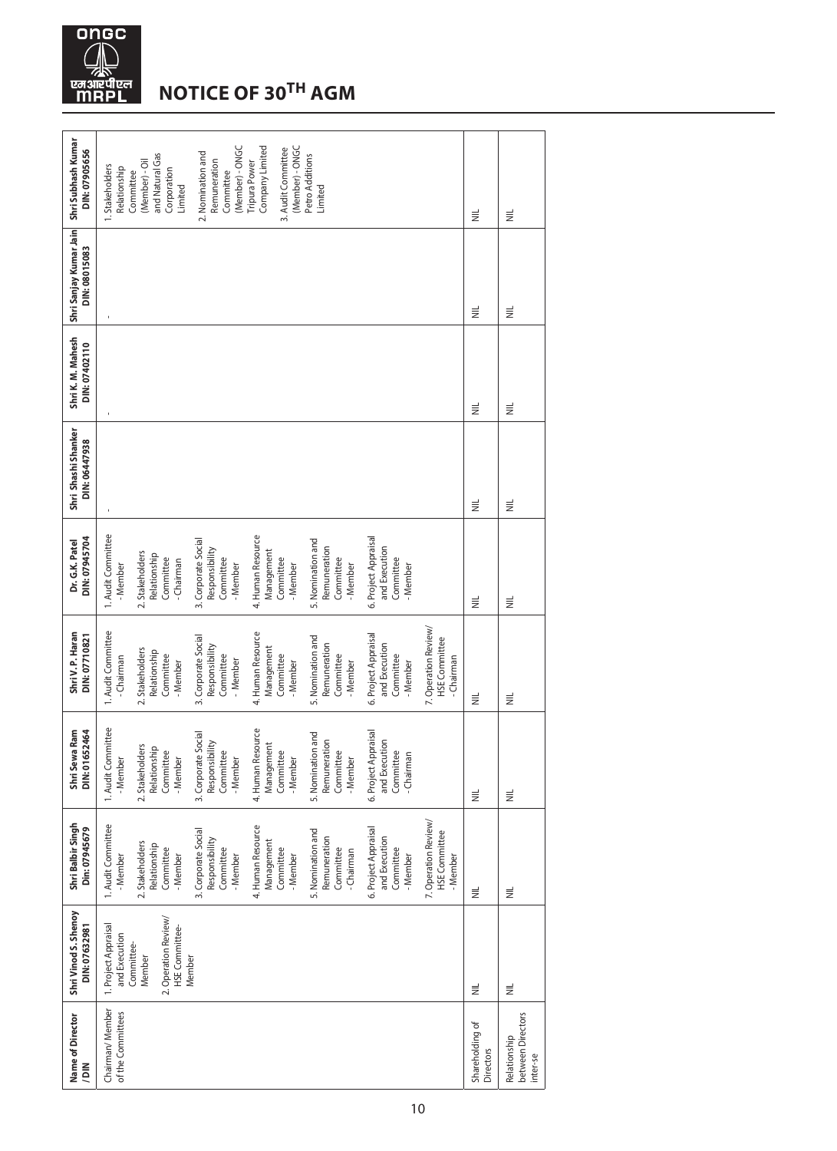

# **Notice of 30th AGM**

| DIN: 07905656                                              | (Member) - ONGC<br>(Member) - ONGC<br>Company Limited<br>3. Audit Committee<br>2. Nomination and<br>and Natural Gas<br>Petro Additions<br>Tripura Power<br>(Member) - Oil<br>Remuneration<br>1. Stakeholders<br>Relationship<br>Corporation<br>Committee<br>Committee<br>Limited<br>Limited                                                                                                                              | $\equiv$                            | $\equiv$                                      |
|------------------------------------------------------------|--------------------------------------------------------------------------------------------------------------------------------------------------------------------------------------------------------------------------------------------------------------------------------------------------------------------------------------------------------------------------------------------------------------------------|-------------------------------------|-----------------------------------------------|
| Shri Sanjay Kumar Jain Shri Subhash Kumar<br>DIN: 08015083 |                                                                                                                                                                                                                                                                                                                                                                                                                          | $\equiv$                            | $\equiv$                                      |
| Shri K. M. Mahesh<br>DIN: 07402110                         |                                                                                                                                                                                                                                                                                                                                                                                                                          | $\equiv$                            | $\equiv$                                      |
| Shri Shashi Shanker<br>DIN: 06447938                       |                                                                                                                                                                                                                                                                                                                                                                                                                          | $\equiv$                            | $\equiv$                                      |
| DIN: 07945704<br>Dr. G.K. Patel                            | 1. Audit Committee<br>4. Human Resource<br>6. Project Appraisal<br>3. Corporate Social<br>5. Nomination and<br>Remuneration<br>and Execution<br>Responsibility<br>Management<br>2. Stakeholders<br>Relationship<br>Committee<br>Committee<br>Committee<br>Committee<br>Committee<br>- Chairman<br>- Member<br>- Member<br>- Member<br>- Member<br>- Member                                                               | $\equiv$                            | $\equiv$                                      |
| Shri V.P. Haran<br>DIN: 07710821                           | 7. Operation Review/<br>4. Human Resource<br>1. Audit Committee<br>6. Project Appraisal<br>3. Corporate Social<br>5. Nomination and<br><b>HSE</b> Committee<br>Remuneration<br>and Execution<br>Responsibility<br>Management<br>2. Stakeholders<br>Relationship<br>Committee<br>Committee<br>Committee<br>Committee<br>Committee<br>- Chairman<br>- Chairman<br>- Member<br>- Member<br>- Member<br>- Member<br>- Member | $\equiv$                            | $\equiv$                                      |
| DIN: 01652464<br>Shri Sewa Ram                             | 1. Audit Committee<br>4. Human Resource<br>6. Project Appraisal<br>3. Corporate Social<br>5. Nomination and<br>Remuneration<br>and Execution<br>Responsibility<br>Committee<br>- Member<br>Management<br>2. Stakeholders<br>Relationship<br>Committee<br>- Member<br>Committee<br>Committee<br>Committee<br>- Chairman<br>- Member<br>- Member<br>- Member                                                               | $\equiv$                            | $\equiv$                                      |
| Shri Balbir Singh<br>Din: 07945679                         | 7. Operation Review/<br>1. Audit Committee<br>4. Human Resource<br>6. Project Appraisal<br>3. Corporate Social<br>5. Nomination and<br><b>HSE</b> Committee<br>Remuneration<br>and Execution<br>Responsibility<br>Management<br>2. Stakeholders<br>Relationship<br>Committee<br>Committee<br>Committee<br>Committee<br>Committee<br>- Chairman<br>- Member<br>- Member<br>- Member<br>- Member<br>- Member<br>- Member   | $\equiv$                            | $\equiv$                                      |
| Shri Vinod S. Shenoy<br>DIN: 07632981                      | 2. Operation Review/<br>1. Project Appraisal<br>HSE Committee-<br>and Execution<br>Committee-<br>Member<br>Member                                                                                                                                                                                                                                                                                                        | $\equiv$                            | $\equiv$                                      |
| Name of Director<br>NIQ/                                   | Chairman/Member<br>of the Committees                                                                                                                                                                                                                                                                                                                                                                                     | Shareholding of<br><b>Directors</b> | between Directors<br>Relationship<br>inter-se |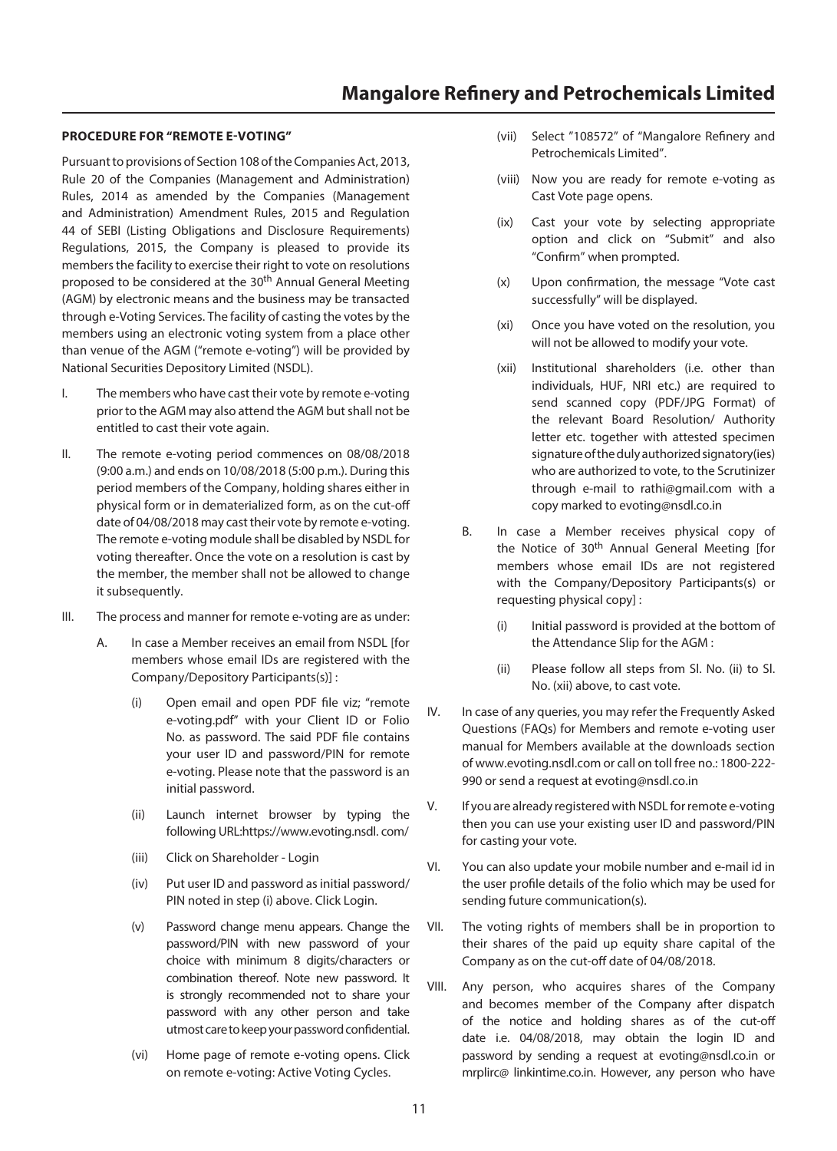### **PROCEDURE FOR "REMOTE E-VOTING"**

Pursuant to provisions of Section 108 of the Companies Act, 2013, Rule 20 of the Companies (Management and Administration) Rules, 2014 as amended by the Companies (Management and Administration) Amendment Rules, 2015 and Regulation 44 of SEBI (Listing Obligations and Disclosure Requirements) Regulations, 2015, the Company is pleased to provide its members the facility to exercise their right to vote on resolutions proposed to be considered at the 30<sup>th</sup> Annual General Meeting (AGM) by electronic means and the business may be transacted through e-Voting Services. The facility of casting the votes by the members using an electronic voting system from a place other than venue of the AGM ("remote e-voting") will be provided by National Securities Depository Limited (NSDL).

- I. The members who have cast their vote by remote e-voting prior to the AGM may also attend the AGM but shall not be entitled to cast their vote again.
- II. The remote e-voting period commences on 08/08/2018 (9:00 a.m.) and ends on 10/08/2018 (5:00 p.m.). During this period members of the Company, holding shares either in physical form or in dematerialized form, as on the cut-off date of 04/08/2018 may cast their vote by remote e-voting. The remote e-voting module shall be disabled by NSDL for voting thereafter. Once the vote on a resolution is cast by the member, the member shall not be allowed to change it subsequently.
- III. The process and manner for remote e-voting are as under:
	- A. In case a Member receives an email from NSDL [for members whose email IDs are registered with the Company/Depository Participants(s)] :
		- (i) Open email and open PDF file viz; "remote e-voting.pdf" with your Client ID or Folio No. as password. The said PDF file contains your user ID and password/PIN for remote e-voting. Please note that the password is an initial password.
		- (ii) Launch internet browser by typing the following URL:[https://www.evoting.nsdl.](https://www.evoting.nsdl./) com/
		- (iii) Click on Shareholder Login
		- (iv) Put user ID and password as initial password/ PIN noted in step (i) above. Click Login.
		- (v) Password change menu appears. Change the password/PIN with new password of your choice with minimum 8 digits/characters or combination thereof. Note new password. It is strongly recommended not to share your password with any other person and take utmost care to keep your password confidential.
		- (vi) Home page of remote e-voting opens. Click on remote e-voting: Active Voting Cycles.
- (vii) Select "108572" of "Mangalore Refinery and Petrochemicals Limited".
- (viii) Now you are ready for remote e-voting as Cast Vote page opens.
- (ix) Cast your vote by selecting appropriate option and click on "Submit" and also "Confirm" when prompted.
- (x) Upon confirmation, the message "Vote cast successfully" will be displayed.
- (xi) Once you have voted on the resolution, you will not be allowed to modify your vote.
- (xii) Institutional shareholders (i.e. other than individuals, HUF, NRI etc.) are required to send scanned copy (PDF/JPG Format) of the relevant Board Resolution/ Authority letter etc. together with attested specimen signature of the duly authorized signatory(ies) who are authorized to vote, to the Scrutinizer through e-mail to [rathi@gmail.com](mailto:rathi@gmail.com) with a copy marked to evoting@nsdl.co.in
- B. In case a Member receives physical copy of the Notice of 30<sup>th</sup> Annual General Meeting [for members whose email IDs are not registered with the Company/Depository Participants(s) or requesting physical copy] :
	- (i) Initial password is provided at the bottom of the Attendance Slip for the AGM :
	- (ii) Please follow all steps from Sl. No. (ii) to Sl. No. (xii) above, to cast vote.
- IV. In case of any queries, you may refer the Frequently Asked Questions (FAQs) for Members and remote e-voting user manual for Members available at the downloads section of [www.evoting.nsdl.com](http://www.evoting.nsdl.com/) or call on toll free no.: 1800-222- 990 or send a request at [evoting@nsdl.co.in](mailto:evoting@nsdl.co.in)
- V. If you are already registered with NSDL for remote e-voting then you can use your existing user ID and password/PIN for casting your vote.
- VI. You can also update your mobile number and e-mail id in the user profile details of the folio which may be used for sending future communication(s).
- VII. The voting rights of members shall be in proportion to their shares of the paid up equity share capital of the Company as on the cut-off date of 04/08/2018.
- VIII. Any person, who acquires shares of the Company and becomes member of the Company after dispatch of the notice and holding shares as of the cut-off date i.e. 04/08/2018, may obtain the login ID and password by sending a request at evoting@nsdl.co.in or mrplirc@ linkintime.co.in. However, any person who have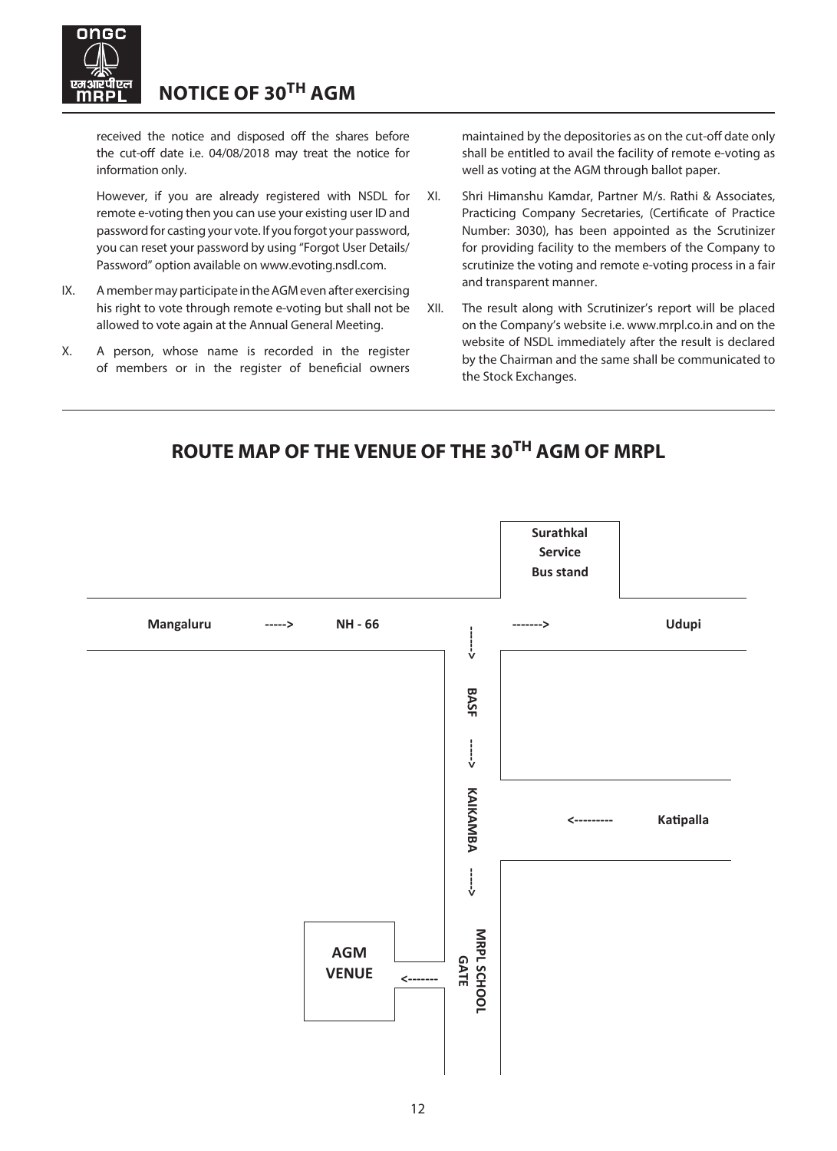

received the notice and disposed off the shares before the cut-off date i.e. 04/08/2018 may treat the notice for information only.

 However, if you are already registered with NSDL for remote e-voting then you can use your existing user ID and password for casting your vote. If you forgot your password, you can reset your password by using "Forgot User Details/ Password" option available on [www.evoting.nsdl.com](http://www.evoting.nsdl.com/).

- IX. A member may participate in the AGM even after exercising his right to vote through remote e-voting but shall not be allowed to vote again at the Annual General Meeting.
- X. A person, whose name is recorded in the register of members or in the register of beneficial owners

maintained by the depositories as on the cut-off date only shall be entitled to avail the facility of remote e-voting as well as voting at the AGM through ballot paper.

- XI. Shri Himanshu Kamdar, Partner M/s. Rathi & Associates, Practicing Company Secretaries, (Certificate of Practice Number: 3030), has been appointed as the Scrutinizer for providing facility to the members of the Company to scrutinize the voting and remote e-voting process in a fair and transparent manner.
- XII. The result along with Scrutinizer's report will be placed on the Company's website i.e. [www.mrpl.co.in](http://www.mrpl.co.in/) and on the website of NSDL immediately after the result is declared by the Chairman and the same shall be communicated to the Stock Exchanges.

# $\overline{\phantom{a}}$ **ROUTE MAP OF THE VENUE OF THE 30TH AGM OF MRPL**

ROUTE MAP OF THE VENUE OF THE VENUE OF THE VENUE OF THE VENUE OF THE 29TH APPEAR OF THE 29TH APPEAR OF THE 29T

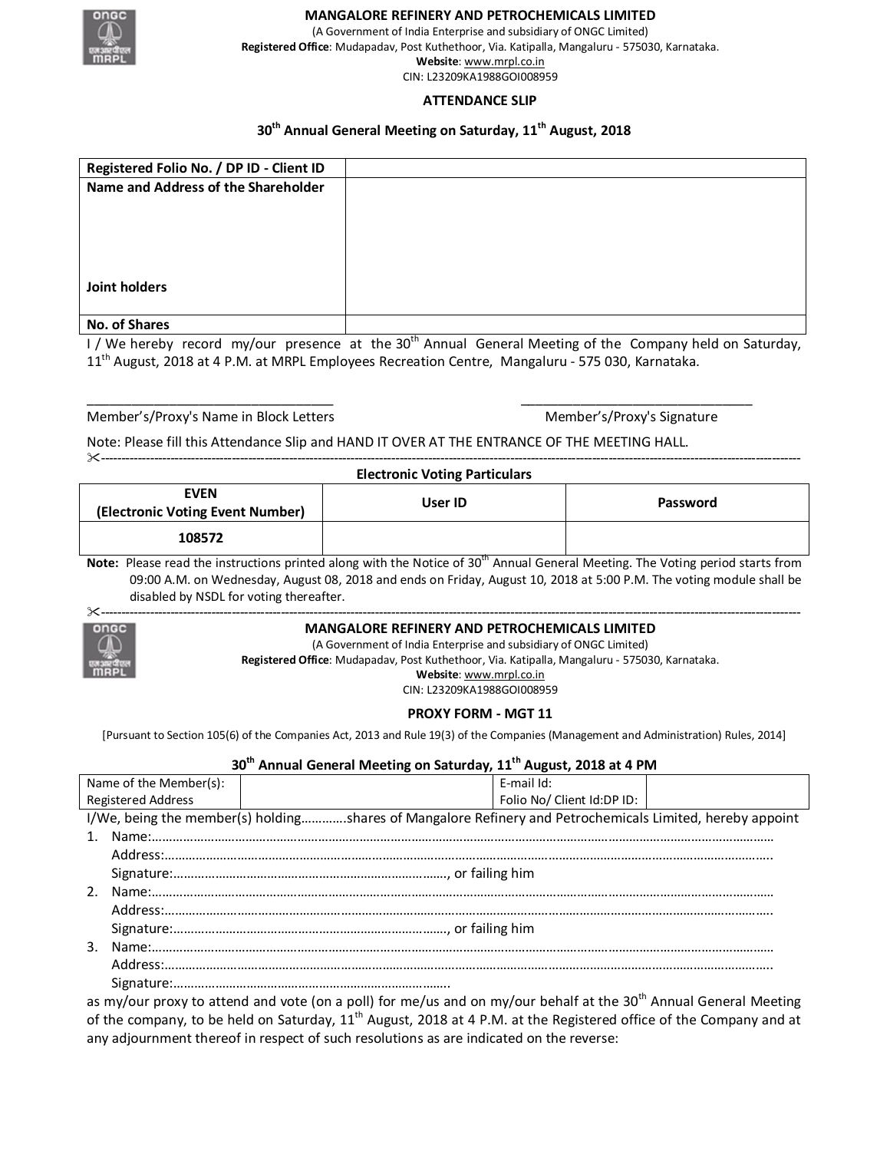

### **MANGALORE REFINERY AND PETROCHEMICALS LIMITED**

(A Government of India Enterprise and subsidiary of ONGC Limited) **Registered Office**: Mudapadav, Post Kuthethoor, Via. Katipalla, Mangaluru - 575030, Karnataka. **Website**: www.mrpl.co.in CIN: L23209KA1988GOI008959

### **ATTENDANCE SLIP**

# **30th Annual General Meeting on Saturday, 11th August, 2018**

| Registered Folio No. / DP ID - Client ID |  |
|------------------------------------------|--|
| Name and Address of the Shareholder      |  |
|                                          |  |
|                                          |  |
|                                          |  |
|                                          |  |
|                                          |  |
| Joint holders                            |  |
|                                          |  |
| <b>No. of Shares</b>                     |  |

I / We hereby record my/our presence at the 30<sup>th</sup> Annual General Meeting of the Company held on Saturday, 11th August, 2018 at 4 P.M. at MRPL Employees Recreation Centre, Mangaluru - 575 030, Karnataka.

\_\_\_\_\_\_\_\_\_\_\_\_\_\_\_\_\_\_\_\_\_\_\_\_\_\_\_\_\_\_\_\_\_ \_\_\_\_\_\_\_\_\_\_\_\_\_\_\_\_\_\_\_\_\_\_\_\_\_\_\_\_\_\_\_

Member's/Proxy's Name in Block Letters Member's/Proxy's Signature

---------------------------------------------------------------------------------------------------------------------------------------------------------------------------

Note: Please fill this Attendance Slip and HAND IT OVER AT THE ENTRANCE OF THE MEETING HALL.

## **Electronic Voting Particulars**

| EVEN<br>(Electronic Voting Event Number) | User ID | Password |
|------------------------------------------|---------|----------|
| 108572                                   |         |          |

**Note:** Please read the instructions printed along with the Notice of 30<sup>th</sup> Annual General Meeting. The Voting period starts from 09:00 A.M. on Wednesday, August 08, 2018 and ends on Friday, August 10, 2018 at 5:00 P.M. The voting module shall be disabled by NSDL for voting thereafter.



### **MANGALORE REFINERY AND PETROCHEMICALS LIMITED**

(A Government of India Enterprise and subsidiary of ONGC Limited) **Registered Office**: Mudapadav, Post Kuthethoor, Via. Katipalla, Mangaluru - 575030, Karnataka. **Website**: www.mrpl.co.in

CIN: L23209KA1988GOI008959

### **PROXY FORM - MGT 11**

[Pursuant to Section 105(6) of the Companies Act, 2013 and Rule 19(3) of the Companies (Management and Administration) Rules, 2014]

| 30 <sup>th</sup> Annual General Meeting on Saturday, 11 <sup>th</sup> August, 2018 at 4 PM               |  |                            |  |  |
|----------------------------------------------------------------------------------------------------------|--|----------------------------|--|--|
| Name of the Member(s):                                                                                   |  | F-mail Id:                 |  |  |
| <b>Registered Address</b>                                                                                |  | Folio No/ Client Id:DP ID: |  |  |
| I/We, being the member(s) holdingshares of Mangalore Refinery and Petrochemicals Limited, hereby appoint |  |                            |  |  |
|                                                                                                          |  |                            |  |  |
|                                                                                                          |  |                            |  |  |
|                                                                                                          |  |                            |  |  |
| $\mathcal{P}$                                                                                            |  |                            |  |  |
|                                                                                                          |  |                            |  |  |
|                                                                                                          |  |                            |  |  |
|                                                                                                          |  |                            |  |  |
|                                                                                                          |  |                            |  |  |
|                                                                                                          |  |                            |  |  |
|                                                                                                          |  |                            |  |  |

as my/our proxy to attend and vote (on a poll) for me/us and on my/our behalf at the 30<sup>th</sup> Annual General Meeting of the company, to be held on Saturday,  $11^{th}$  August, 2018 at 4 P.M. at the Registered office of the Company and at any adjournment thereof in respect of such resolutions as are indicated on the reverse: